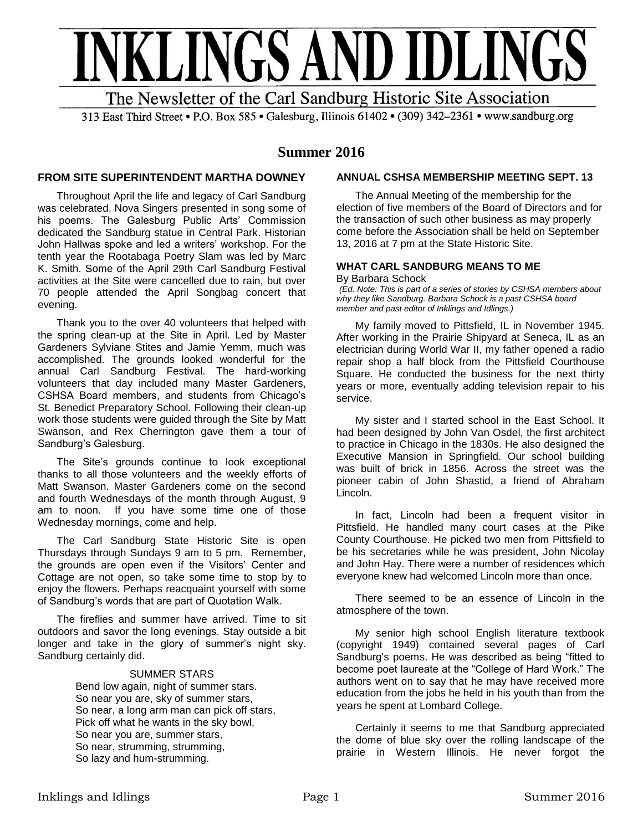

313 East Third Street • P.O. Box 585 • Galesburg, Illinois 61402 • (309) 342-2361 • www.sandburg.org

## **Summer 2016**

### **FROM SITE SUPERINTENDENT MARTHA DOWNEY**

Throughout April the life and legacy of Carl Sandburg was celebrated. Nova Singers presented in song some of his poems. The Galesburg Public Arts' Commission dedicated the Sandburg statue in Central Park. Historian John Hallwas spoke and led a writers' workshop. For the tenth year the Rootabaga Poetry Slam was led by Marc K. Smith. Some of the April 29th Carl Sandburg Festival activities at the Site were cancelled due to rain, but over 70 people attended the April Songbag concert that evening.

Thank you to the over 40 volunteers that helped with the spring clean-up at the Site in April. Led by Master Gardeners Sylviane Stites and Jamie Yemm, much was accomplished. The grounds looked wonderful for the annual Carl Sandburg Festival. The hard-working volunteers that day included many Master Gardeners, CSHSA Board members, and students from Chicago's St. Benedict Preparatory School. Following their clean-up work those students were guided through the Site by Matt Swanson, and Rex Cherrington gave them a tour of Sandburg's Galesburg.

The Site's grounds continue to look exceptional thanks to all those volunteers and the weekly efforts of Matt Swanson. Master Gardeners come on the second and fourth Wednesdays of the month through August, 9 am to noon. If you have some time one of those Wednesday mornings, come and help.

The Carl Sandburg State Historic Site is open Thursdays through Sundays 9 am to 5 pm. Remember, the grounds are open even if the Visitors' Center and Cottage are not open, so take some time to stop by to enjoy the flowers. Perhaps reacquaint yourself with some of Sandburg's words that are part of Quotation Walk.

The fireflies and summer have arrived. Time to sit outdoors and savor the long evenings. Stay outside a bit longer and take in the glory of summer's night sky. Sandburg certainly did.

### SUMMER STARS

Bend low again, night of summer stars. So near you are, sky of summer stars, So near, a long arm man can pick off stars, Pick off what he wants in the sky bowl, So near you are, summer stars, So near, strumming, strumming, So lazy and hum-strumming.

### **ANNUAL CSHSA MEMBERSHIP MEETING SEPT. 13**

The Annual Meeting of the membership for the election of five members of the Board of Directors and for the transaction of such other business as may properly come before the Association shall be held on September 13, 2016 at 7 pm at the State Historic Site.

#### **WHAT CARL SANDBURG MEANS TO ME** By Barbara Schock

*(Ed. Note: This is part of a series of stories by CSHSA members about why they like Sandburg. Barbara Schock is a past CSHSA board member and past editor of Inklings and Idlings.)*

My family moved to Pittsfield, IL in November 1945. After working in the Prairie Shipyard at Seneca, IL as an electrician during World War II, my father opened a radio repair shop a half block from the Pittsfield Courthouse Square. He conducted the business for the next thirty years or more, eventually adding television repair to his service.

My sister and I started school in the East School. It had been designed by John Van Osdel, the first architect to practice in Chicago in the 1830s. He also designed the Executive Mansion in Springfield. Our school building was built of brick in 1856. Across the street was the pioneer cabin of John Shastid, a friend of Abraham Lincoln.

In fact, Lincoln had been a frequent visitor in Pittsfield. He handled many court cases at the Pike County Courthouse. He picked two men from Pittsfield to be his secretaries while he was president, John Nicolay and John Hay. There were a number of residences which everyone knew had welcomed Lincoln more than once.

There seemed to be an essence of Lincoln in the atmosphere of the town.

My senior high school English literature textbook (copyright 1949) contained several pages of Carl Sandburg's poems. He was described as being "fitted to become poet laureate at the "College of Hard Work." The authors went on to say that he may have received more education from the jobs he held in his youth than from the years he spent at Lombard College.

Certainly it seems to me that Sandburg appreciated the dome of blue sky over the rolling landscape of the prairie in Western Illinois. He never forgot the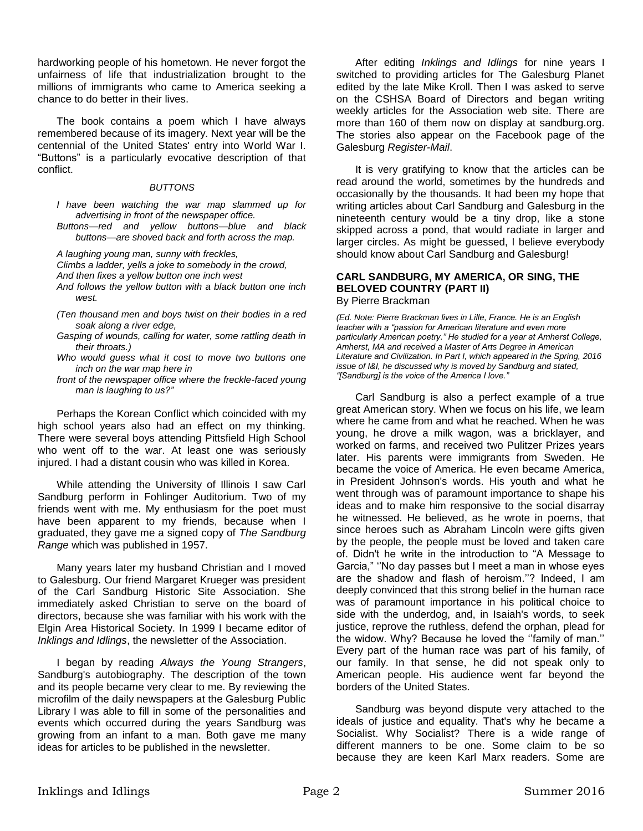hardworking people of his hometown. He never forgot the unfairness of life that industrialization brought to the millions of immigrants who came to America seeking a chance to do better in their lives.

The book contains a poem which I have always remembered because of its imagery. Next year will be the centennial of the United States' entry into World War I. "Buttons" is a particularly evocative description of that conflict.

### *BUTTONS*

*I have been watching the war map slammed up for advertising in front of the newspaper office.*

*Buttons—red and yellow buttons—blue and black buttons—are shoved back and forth across the map.*

*A laughing young man, sunny with freckles,*

*Climbs a ladder, yells a joke to somebody in the crowd,*

*And then fixes a yellow button one inch west*

- *And follows the yellow button with a black button one inch west.*
- *(Ten thousand men and boys twist on their bodies in a red soak along a river edge,*
- *Gasping of wounds, calling for water, some rattling death in their throats.)*
- *Who would guess what it cost to move two buttons one inch on the war map here in*
- *front of the newspaper office where the freckle-faced young man is laughing to us?"*

Perhaps the Korean Conflict which coincided with my high school years also had an effect on my thinking. There were several boys attending Pittsfield High School who went off to the war. At least one was seriously injured. I had a distant cousin who was killed in Korea.

While attending the University of Illinois I saw Carl Sandburg perform in Fohlinger Auditorium. Two of my friends went with me. My enthusiasm for the poet must have been apparent to my friends, because when I graduated, they gave me a signed copy of *The Sandburg Range* which was published in 1957.

Many years later my husband Christian and I moved to Galesburg. Our friend Margaret Krueger was president of the Carl Sandburg Historic Site Association. She immediately asked Christian to serve on the board of directors, because she was familiar with his work with the Elgin Area Historical Society. In 1999 I became editor of *Inklings and Idlings*, the newsletter of the Association.

I began by reading *Always the Young Strangers*, Sandburg's autobiography. The description of the town and its people became very clear to me. By reviewing the microfilm of the daily newspapers at the Galesburg Public Library I was able to fill in some of the personalities and events which occurred during the years Sandburg was growing from an infant to a man. Both gave me many ideas for articles to be published in the newsletter.

After editing *Inklings and Idlings* for nine years I switched to providing articles for The Galesburg Planet edited by the late Mike Kroll. Then I was asked to serve on the CSHSA Board of Directors and began writing weekly articles for the Association web site. There are more than 160 of them now on display at sandburg.org. The stories also appear on the Facebook page of the Galesburg *Register-Mail*.

It is very gratifying to know that the articles can be read around the world, sometimes by the hundreds and occasionally by the thousands. It had been my hope that writing articles about Carl Sandburg and Galesburg in the nineteenth century would be a tiny drop, like a stone skipped across a pond, that would radiate in larger and larger circles. As might be guessed, I believe everybody should know about Carl Sandburg and Galesburg!

# **CARL SANDBURG, MY AMERICA, OR SING, THE BELOVED COUNTRY (PART II)**

By Pierre Brackman

*(Ed. Note: Pierre Brackman lives in Lille, France. He is an English teacher with a "passion for American literature and even more particularly American poetry." He studied for a year at Amherst College, Amherst, MA and received a Master of Arts Degree in American Literature and Civilization. In Part I, which appeared in the Spring, 2016 issue of I&I, he discussed why is moved by Sandburg and stated, "[Sandburg] is the voice of the America I love."*

Carl Sandburg is also a perfect example of a true great American story. When we focus on his life, we learn where he came from and what he reached. When he was young, he drove a milk wagon, was a bricklayer, and worked on farms, and received two Pulitzer Prizes years later. His parents were immigrants from Sweden. He became the voice of America. He even became America, in President Johnson's words. His youth and what he went through was of paramount importance to shape his ideas and to make him responsive to the social disarray he witnessed. He believed, as he wrote in poems, that since heroes such as Abraham Lincoln were gifts given by the people, the people must be loved and taken care of. Didn't he write in the introduction to "A Message to Garcia," ''No day passes but I meet a man in whose eyes are the shadow and flash of heroism.''? Indeed, I am deeply convinced that this strong belief in the human race was of paramount importance in his political choice to side with the underdog, and, in Isaiah's words, to seek justice, reprove the ruthless, defend the orphan, plead for the widow. Why? Because he loved the ''family of man.'' Every part of the human race was part of his family, of our family. In that sense, he did not speak only to American people. His audience went far beyond the borders of the United States.

Sandburg was beyond dispute very attached to the ideals of justice and equality. That's why he became a Socialist. Why Socialist? There is a wide range of different manners to be one. Some claim to be so because they are keen Karl Marx readers. Some are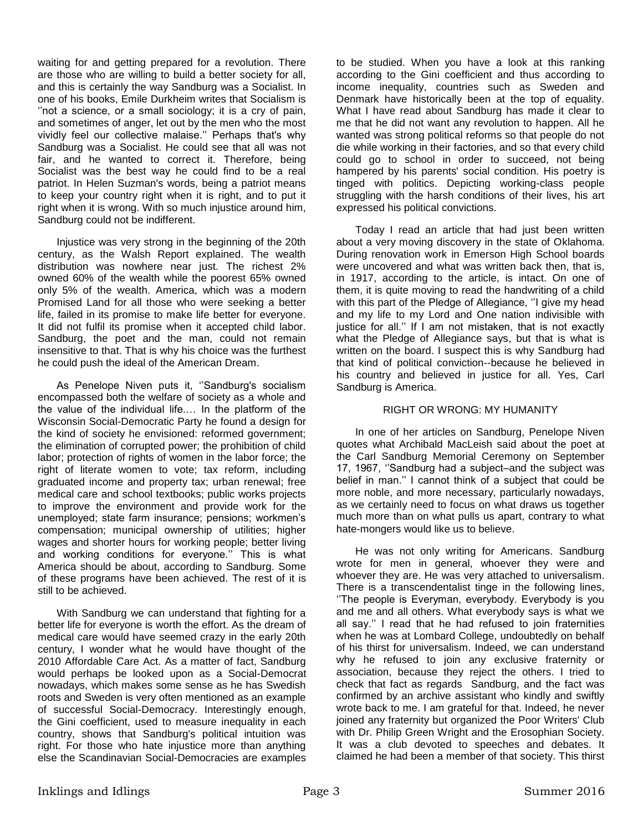waiting for and getting prepared for a revolution. There are those who are willing to build a better society for all, and this is certainly the way Sandburg was a Socialist. In one of his books, Emile Durkheim writes that Socialism is "not a science, or a small sociology; it is a cry of pain, and sometimes of anger, let out by the men who the most vividly feel our collective malaise.'' Perhaps that's why Sandburg was a Socialist. He could see that all was not fair, and he wanted to correct it. Therefore, being Socialist was the best way he could find to be a real patriot. In Helen Suzman's words, being a patriot means to keep your country right when it is right, and to put it right when it is wrong. With so much injustice around him, Sandburg could not be indifferent.

Injustice was very strong in the beginning of the 20th century, as the Walsh Report explained. The wealth distribution was nowhere near just. The richest 2% owned 60% of the wealth while the poorest 65% owned only 5% of the wealth. America, which was a modern Promised Land for all those who were seeking a better life, failed in its promise to make life better for everyone. It did not fulfil its promise when it accepted child labor. Sandburg, the poet and the man, could not remain insensitive to that. That is why his choice was the furthest he could push the ideal of the American Dream.

As Penelope Niven puts it, ''Sandburg's socialism encompassed both the welfare of society as a whole and the value of the individual life.… In the platform of the Wisconsin Social-Democratic Party he found a design for the kind of society he envisioned: reformed government; the elimination of corrupted power; the prohibition of child labor; protection of rights of women in the labor force; the right of literate women to vote; tax reform, including graduated income and property tax; urban renewal; free medical care and school textbooks; public works projects to improve the environment and provide work for the unemployed; state farm insurance; pensions; workmen's compensation; municipal ownership of utilities; higher wages and shorter hours for working people; better living and working conditions for everyone.'' This is what America should be about, according to Sandburg. Some of these programs have been achieved. The rest of it is still to be achieved.

With Sandburg we can understand that fighting for a better life for everyone is worth the effort. As the dream of medical care would have seemed crazy in the early 20th century, I wonder what he would have thought of the 2010 Affordable Care Act. As a matter of fact, Sandburg would perhaps be looked upon as a Social-Democrat nowadays, which makes some sense as he has Swedish roots and Sweden is very often mentioned as an example of successful Social-Democracy. Interestingly enough, the Gini coefficient, used to measure inequality in each country, shows that Sandburg's political intuition was right. For those who hate injustice more than anything else the Scandinavian Social-Democracies are examples to be studied. When you have a look at this ranking according to the Gini coefficient and thus according to income inequality, countries such as Sweden and Denmark have historically been at the top of equality. What I have read about Sandburg has made it clear to me that he did not want any revolution to happen. All he wanted was strong political reforms so that people do not die while working in their factories, and so that every child could go to school in order to succeed, not being hampered by his parents' social condition. His poetry is tinged with politics. Depicting working-class people struggling with the harsh conditions of their lives, his art expressed his political convictions.

Today I read an article that had just been written about a very moving discovery in the state of Oklahoma. During renovation work in Emerson High School boards were uncovered and what was written back then, that is, in 1917, according to the article, is intact. On one of them, it is quite moving to read the handwriting of a child with this part of the Pledge of Allegiance, "I give my head and my life to my Lord and One nation indivisible with justice for all.'' If I am not mistaken, that is not exactly what the Pledge of Allegiance says, but that is what is written on the board. I suspect this is why Sandburg had that kind of political conviction--because he believed in his country and believed in justice for all. Yes, Carl Sandburg is America.

### RIGHT OR WRONG: MY HUMANITY

In one of her articles on Sandburg, Penelope Niven quotes what Archibald MacLeish said about the poet at the Carl Sandburg Memorial Ceremony on September 17, 1967, ''Sandburg had a subject–and the subject was belief in man.'' I cannot think of a subject that could be more noble, and more necessary, particularly nowadays, as we certainly need to focus on what draws us together much more than on what pulls us apart, contrary to what hate-mongers would like us to believe.

He was not only writing for Americans. Sandburg wrote for men in general, whoever they were and whoever they are. He was very attached to universalism. There is a transcendentalist tinge in the following lines, ''The people is Everyman, everybody. Everybody is you and me and all others. What everybody says is what we all say.'' I read that he had refused to join fraternities when he was at Lombard College, undoubtedly on behalf of his thirst for universalism. Indeed, we can understand why he refused to join any exclusive fraternity or association, because they reject the others. I tried to check that fact as regards Sandburg, and the fact was confirmed by an archive assistant who kindly and swiftly wrote back to me. I am grateful for that. Indeed, he never joined any fraternity but organized the Poor Writers' Club with Dr. Philip Green Wright and the Erosophian Society. It was a club devoted to speeches and debates. It claimed he had been a member of that society. This thirst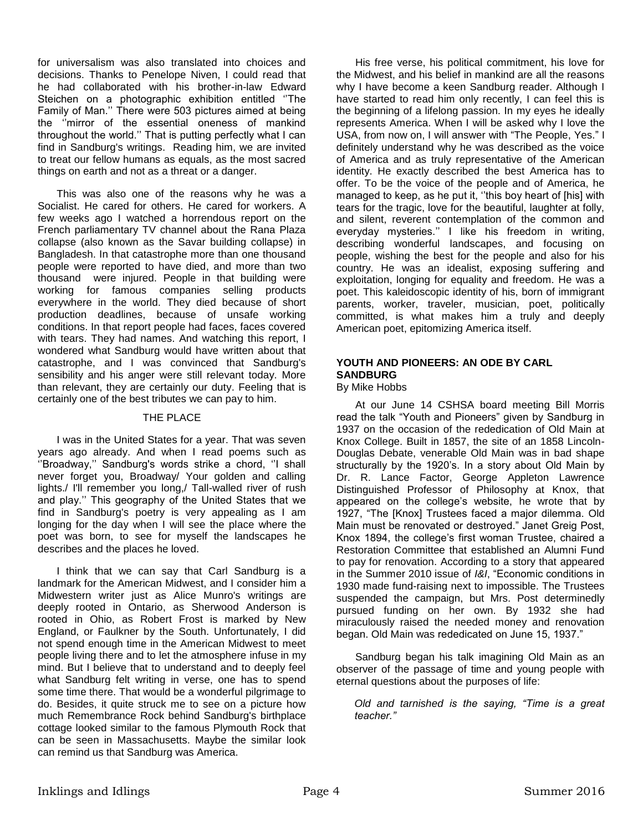for universalism was also translated into choices and decisions. Thanks to Penelope Niven, I could read that he had collaborated with his brother-in-law Edward Steichen on a photographic exhibition entitled ''The Family of Man.'' There were 503 pictures aimed at being the ''mirror of the essential oneness of mankind throughout the world.'' That is putting perfectly what I can find in Sandburg's writings. Reading him, we are invited to treat our fellow humans as equals, as the most sacred things on earth and not as a threat or a danger.

This was also one of the reasons why he was a Socialist. He cared for others. He cared for workers. A few weeks ago I watched a horrendous report on the French parliamentary TV channel about the Rana Plaza collapse (also known as the Savar building collapse) in Bangladesh. In that catastrophe more than one thousand people were reported to have died, and more than two thousand were injured. People in that building were working for famous companies selling products everywhere in the world. They died because of short production deadlines, because of unsafe working conditions. In that report people had faces, faces covered with tears. They had names. And watching this report, I wondered what Sandburg would have written about that catastrophe, and I was convinced that Sandburg's sensibility and his anger were still relevant today. More than relevant, they are certainly our duty. Feeling that is certainly one of the best tributes we can pay to him.

### THE PLACE

I was in the United States for a year. That was seven years ago already. And when I read poems such as ''Broadway,'' Sandburg's words strike a chord, ''I shall never forget you, Broadway/ Your golden and calling lights./ I'll remember you long,/ Tall-walled river of rush and play.'' This geography of the United States that we find in Sandburg's poetry is very appealing as I am longing for the day when I will see the place where the poet was born, to see for myself the landscapes he describes and the places he loved.

I think that we can say that Carl Sandburg is a landmark for the American Midwest, and I consider him a Midwestern writer just as Alice Munro's writings are deeply rooted in Ontario, as Sherwood Anderson is rooted in Ohio, as Robert Frost is marked by New England, or Faulkner by the South. Unfortunately, I did not spend enough time in the American Midwest to meet people living there and to let the atmosphere infuse in my mind. But I believe that to understand and to deeply feel what Sandburg felt writing in verse, one has to spend some time there. That would be a wonderful pilgrimage to do. Besides, it quite struck me to see on a picture how much Remembrance Rock behind Sandburg's birthplace cottage looked similar to the famous Plymouth Rock that can be seen in Massachusetts. Maybe the similar look can remind us that Sandburg was America.

His free verse, his political commitment, his love for the Midwest, and his belief in mankind are all the reasons why I have become a keen Sandburg reader. Although I have started to read him only recently, I can feel this is the beginning of a lifelong passion. In my eyes he ideally represents America. When I will be asked why I love the USA, from now on, I will answer with "The People, Yes." I definitely understand why he was described as the voice of America and as truly representative of the American identity. He exactly described the best America has to offer. To be the voice of the people and of America, he managed to keep, as he put it, ''this boy heart of [his] with tears for the tragic, love for the beautiful, laughter at folly, and silent, reverent contemplation of the common and everyday mysteries.'' I like his freedom in writing, describing wonderful landscapes, and focusing on people, wishing the best for the people and also for his country. He was an idealist, exposing suffering and exploitation, longing for equality and freedom. He was a poet. This kaleidoscopic identity of his, born of immigrant parents, worker, traveler, musician, poet, politically committed, is what makes him a truly and deeply American poet, epitomizing America itself.

## **YOUTH AND PIONEERS: AN ODE BY CARL SANDBURG**

### By Mike Hobbs

At our June 14 CSHSA board meeting Bill Morris read the talk "Youth and Pioneers" given by Sandburg in 1937 on the occasion of the rededication of Old Main at Knox College. Built in 1857, the site of an 1858 Lincoln-Douglas Debate, venerable Old Main was in bad shape structurally by the 1920's. In a story about Old Main by Dr. R. Lance Factor, George Appleton Lawrence Distinguished Professor of Philosophy at Knox, that appeared on the college's website, he wrote that by 1927, "The [Knox] Trustees faced a major dilemma. Old Main must be renovated or destroyed." Janet Greig Post, Knox 1894, the college's first woman Trustee, chaired a Restoration Committee that established an Alumni Fund to pay for renovation. According to a story that appeared in the Summer 2010 issue of *I&I*, "Economic conditions in 1930 made fund-raising next to impossible. The Trustees suspended the campaign, but Mrs. Post determinedly pursued funding on her own. By 1932 she had miraculously raised the needed money and renovation began. Old Main was rededicated on June 15, 1937."

Sandburg began his talk imagining Old Main as an observer of the passage of time and young people with eternal questions about the purposes of life:

*Old and tarnished is the saying, "Time is a great teacher."*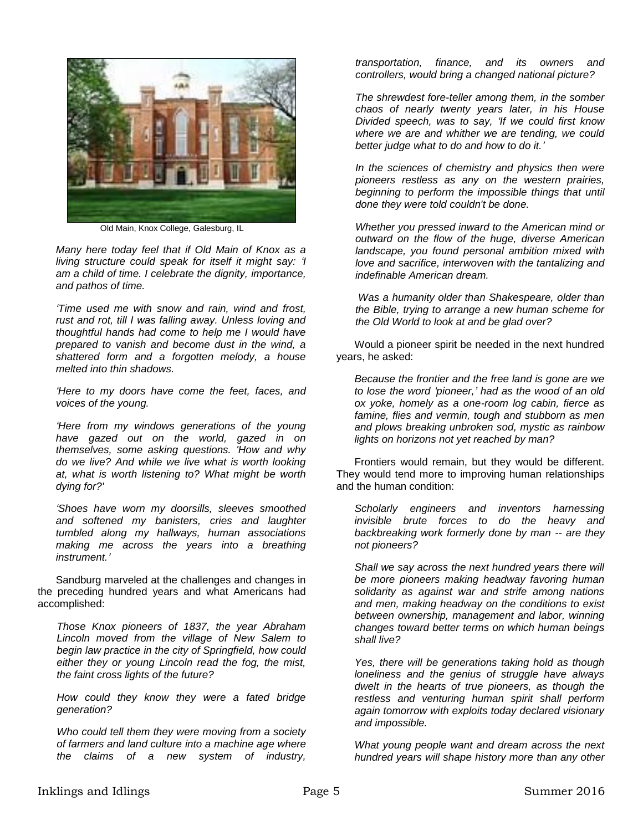

Old Main, Knox College, Galesburg, IL

*Many here today feel that if Old Main of Knox as a living structure could speak for itself it might say: 'I am a child of time. I celebrate the dignity, importance, and pathos of time.*

*'Time used me with snow and rain, wind and frost, rust and rot, till I was falling away. Unless loving and thoughtful hands had come to help me I would have prepared to vanish and become dust in the wind, a shattered form and a forgotten melody, a house melted into thin shadows.*

*'Here to my doors have come the feet, faces, and voices of the young.*

*'Here from my windows generations of the young have gazed out on the world, gazed in on themselves, some asking questions. 'How and why do we live? And while we live what is worth looking at, what is worth listening to? What might be worth dying for?'*

*'Shoes have worn my doorsills, sleeves smoothed and softened my banisters, cries and laughter tumbled along my hallways, human associations making me across the years into a breathing instrument.'*

Sandburg marveled at the challenges and changes in the preceding hundred years and what Americans had accomplished:

*Those Knox pioneers of 1837, the year Abraham Lincoln moved from the village of New Salem to begin law practice in the city of Springfield, how could either they or young Lincoln read the fog, the mist, the faint cross lights of the future?*

*How could they know they were a fated bridge generation?* 

*Who could tell them they were moving from a society of farmers and land culture into a machine age where the claims of a new system of industry,* 

*transportation, finance, and its owners and controllers, would bring a changed national picture?*

*The shrewdest fore-teller among them, in the somber chaos of nearly twenty years later, in his House Divided speech, was to say, 'If we could first know where we are and whither we are tending, we could better judge what to do and how to do it.'*

*In the sciences of chemistry and physics then were pioneers restless as any on the western prairies, beginning to perform the impossible things that until done they were told couldn't be done.*

*Whether you pressed inward to the American mind or outward on the flow of the huge, diverse American landscape, you found personal ambition mixed with love and sacrifice, interwoven with the tantalizing and indefinable American dream.*

*Was a humanity older than Shakespeare, older than the Bible, trying to arrange a new human scheme for the Old World to look at and be glad over?* 

Would a pioneer spirit be needed in the next hundred years, he asked:

*Because the frontier and the free land is gone are we to lose the word 'pioneer,' had as the wood of an old ox yoke, homely as a one-room log cabin, fierce as famine, flies and vermin, tough and stubborn as men and plows breaking unbroken sod, mystic as rainbow lights on horizons not yet reached by man?*

Frontiers would remain, but they would be different. They would tend more to improving human relationships and the human condition:

*Scholarly engineers and inventors harnessing invisible brute forces to do the heavy and backbreaking work formerly done by man -- are they not pioneers?*

*Shall we say across the next hundred years there will be more pioneers making headway favoring human solidarity as against war and strife among nations and men, making headway on the conditions to exist between ownership, management and labor, winning changes toward better terms on which human beings shall live?*

*Yes, there will be generations taking hold as though loneliness and the genius of struggle have always dwelt in the hearts of true pioneers, as though the restless and venturing human spirit shall perform again tomorrow with exploits today declared visionary and impossible.*

*What young people want and dream across the next hundred years will shape history more than any other*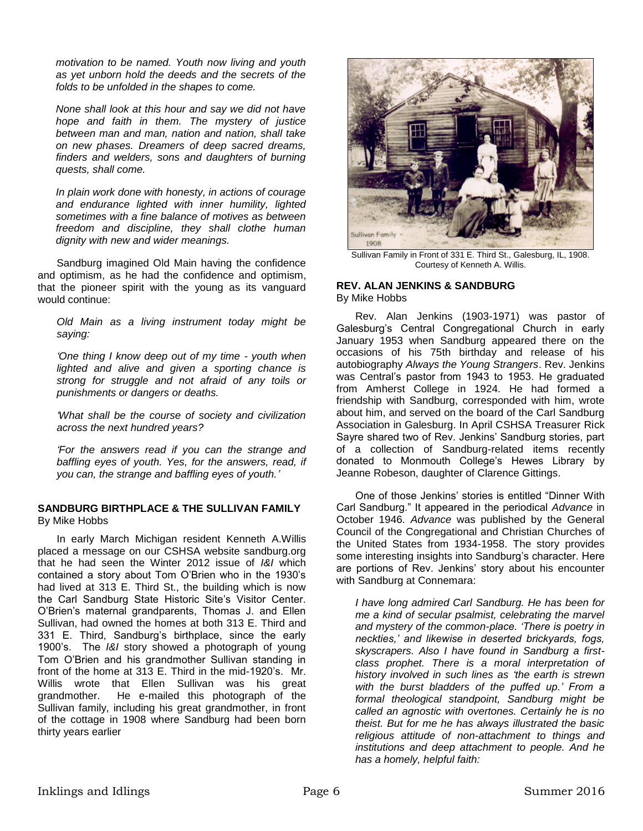*motivation to be named. Youth now living and youth as yet unborn hold the deeds and the secrets of the folds to be unfolded in the shapes to come.*

*None shall look at this hour and say we did not have hope and faith in them. The mystery of justice between man and man, nation and nation, shall take on new phases. Dreamers of deep sacred dreams, finders and welders, sons and daughters of burning quests, shall come.*

*In plain work done with honesty, in actions of courage and endurance lighted with inner humility, lighted sometimes with a fine balance of motives as between freedom and discipline, they shall clothe human dignity with new and wider meanings.*

Sandburg imagined Old Main having the confidence and optimism, as he had the confidence and optimism, that the pioneer spirit with the young as its vanguard would continue:

*Old Main as a living instrument today might be saying:* 

*'One thing I know deep out of my time - youth when lighted and alive and given a sporting chance is strong for struggle and not afraid of any toils or punishments or dangers or deaths.*

*'What shall be the course of society and civilization across the next hundred years?*

*'For the answers read if you can the strange and baffling eyes of youth. Yes, for the answers, read, if you can, the strange and baffling eyes of youth.'*

### **SANDBURG BIRTHPLACE & THE SULLIVAN FAMILY** By Mike Hobbs

In early March Michigan resident Kenneth A.Willis placed a message on our CSHSA website sandburg.org that he had seen the Winter 2012 issue of *I&I* which contained a story about Tom O'Brien who in the 1930's had lived at 313 E. Third St., the building which is now the Carl Sandburg State Historic Site's Visitor Center. O'Brien's maternal grandparents, Thomas J. and Ellen Sullivan, had owned the homes at both 313 E. Third and 331 E. Third, Sandburg's birthplace, since the early 1900's. The *I&I* story showed a photograph of young Tom O'Brien and his grandmother Sullivan standing in front of the home at 313 E. Third in the mid-1920's. Mr. Willis wrote that Ellen Sullivan was his great grandmother. He e-mailed this photograph of the Sullivan family, including his great grandmother, in front of the cottage in 1908 where Sandburg had been born thirty years earlier



Sullivan Family in Front of 331 E. Third St., Galesburg, IL, 1908. Courtesy of Kenneth A. Willis.

### **REV. ALAN JENKINS & SANDBURG** By Mike Hobbs

Rev. Alan Jenkins (1903-1971) was pastor of Galesburg's Central Congregational Church in early January 1953 when Sandburg appeared there on the occasions of his 75th birthday and release of his autobiography *Always the Young Strangers*. Rev. Jenkins was Central's pastor from 1943 to 1953. He graduated from Amherst College in 1924. He had formed a friendship with Sandburg, corresponded with him, wrote about him, and served on the board of the Carl Sandburg Association in Galesburg. In April CSHSA Treasurer Rick Sayre shared two of Rev. Jenkins' Sandburg stories, part of a collection of Sandburg-related items recently donated to Monmouth College's Hewes Library by Jeanne Robeson, daughter of Clarence Gittings.

One of those Jenkins' stories is entitled "Dinner With Carl Sandburg." It appeared in the periodical *Advance* in October 1946. *Advance* was published by the General Council of the Congregational and Christian Churches of the United States from 1934-1958. The story provides some interesting insights into Sandburg's character. Here are portions of Rev. Jenkins' story about his encounter with Sandburg at Connemara:

*I have long admired Carl Sandburg. He has been for me a kind of secular psalmist, celebrating the marvel and mystery of the common-place. 'There is poetry in neckties,' and likewise in deserted brickyards, fogs, skyscrapers. Also I have found in Sandburg a firstclass prophet. There is a moral interpretation of history involved in such lines as 'the earth is strewn with the burst bladders of the puffed up.' From a formal theological standpoint, Sandburg might be called an agnostic with overtones. Certainly he is no theist. But for me he has always illustrated the basic religious attitude of non-attachment to things and institutions and deep attachment to people. And he has a homely, helpful faith:*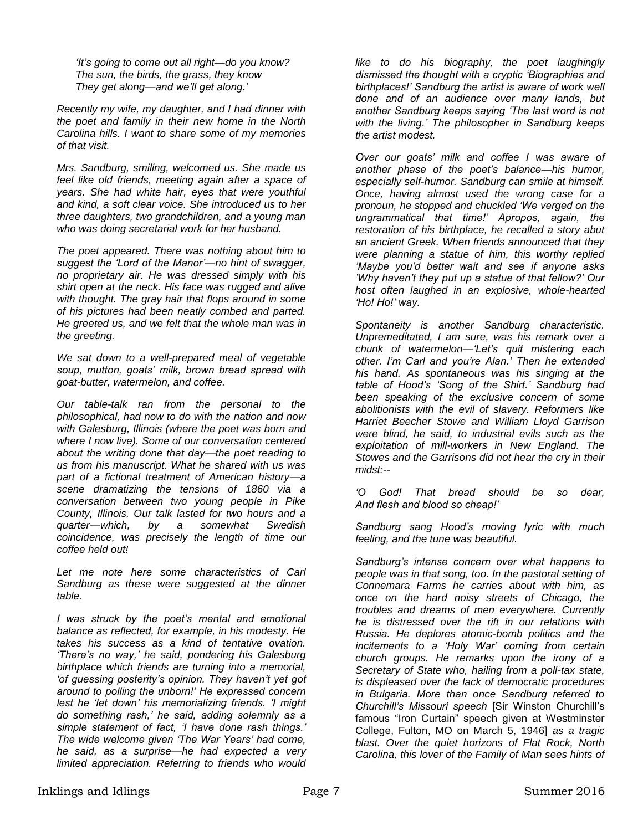*'It's going to come out all right—do you know? The sun, the birds, the grass, they know They get along—and we'll get along.'*

*Recently my wife, my daughter, and I had dinner with the poet and family in their new home in the North Carolina hills. I want to share some of my memories of that visit.*

*Mrs. Sandburg, smiling, welcomed us. She made us feel like old friends, meeting again after a space of years. She had white hair, eyes that were youthful and kind, a soft clear voice. She introduced us to her three daughters, two grandchildren, and a young man who was doing secretarial work for her husband.*

*The poet appeared. There was nothing about him to suggest the 'Lord of the Manor'—no hint of swagger, no proprietary air. He was dressed simply with his shirt open at the neck. His face was rugged and alive with thought. The gray hair that flops around in some of his pictures had been neatly combed and parted. He greeted us, and we felt that the whole man was in the greeting.*

*We sat down to a well-prepared meal of vegetable soup, mutton, goats' milk, brown bread spread with goat-butter, watermelon, and coffee.*

*Our table-talk ran from the personal to the philosophical, had now to do with the nation and now with Galesburg, Illinois (where the poet was born and where I now live). Some of our conversation centered about the writing done that day—the poet reading to us from his manuscript. What he shared with us was part of a fictional treatment of American history—a scene dramatizing the tensions of 1860 via a conversation between two young people in Pike County, Illinois. Our talk lasted for two hours and a quarter—which, by a somewhat Swedish coincidence, was precisely the length of time our coffee held out!*

*Let me note here some characteristics of Carl Sandburg as these were suggested at the dinner table.*

*I was struck by the poet's mental and emotional balance as reflected, for example, in his modesty. He takes his success as a kind of tentative ovation. 'There's no way,' he said, pondering his Galesburg birthplace which friends are turning into a memorial, 'of guessing posterity's opinion. They haven't yet got around to polling the unborn!' He expressed concern lest he 'let down' his memorializing friends. 'I might do something rash,' he said, adding solemnly as a simple statement of fact, 'I have done rash things.' The wide welcome given 'The War Years' had come, he said, as a surprise—he had expected a very limited appreciation. Referring to friends who would*  *like to do his biography, the poet laughingly dismissed the thought with a cryptic 'Biographies and birthplaces!' Sandburg the artist is aware of work well done and of an audience over many lands, but another Sandburg keeps saying 'The last word is not with the living.' The philosopher in Sandburg keeps the artist modest.*

*Over our goats' milk and coffee I was aware of another phase of the poet's balance—his humor, especially self-humor. Sandburg can smile at himself. Once, having almost used the wrong case for a pronoun, he stopped and chuckled 'We verged on the ungrammatical that time!' Apropos, again, the restoration of his birthplace, he recalled a story abut an ancient Greek. When friends announced that they were planning a statue of him, this worthy replied 'Maybe you'd better wait and see if anyone asks 'Why haven't they put up a statue of that fellow?' Our host often laughed in an explosive, whole-hearted 'Ho! Ho!' way.*

*Spontaneity is another Sandburg characteristic. Unpremeditated, I am sure, was his remark over a chunk of watermelon—'Let's quit mistering each other. I'm Carl and you're Alan.' Then he extended his hand. As spontaneous was his singing at the table of Hood's 'Song of the Shirt.' Sandburg had been speaking of the exclusive concern of some abolitionists with the evil of slavery. Reformers like Harriet Beecher Stowe and William Lloyd Garrison were blind, he said, to industrial evils such as the exploitation of mill-workers in New England. The Stowes and the Garrisons did not hear the cry in their midst:--*

*'O God! That bread should be so dear, And flesh and blood so cheap!'*

*Sandburg sang Hood's moving lyric with much feeling, and the tune was beautiful.*

*Sandburg's intense concern over what happens to people was in that song, too. In the pastoral setting of Connemara Farms he carries about with him, as once on the hard noisy streets of Chicago, the troubles and dreams of men everywhere. Currently he is distressed over the rift in our relations with Russia. He deplores atomic-bomb politics and the incitements to a 'Holy War' coming from certain church groups. He remarks upon the irony of a Secretary of State who, hailing from a poll-tax state, is displeased over the lack of democratic procedures in Bulgaria. More than once Sandburg referred to Churchill's Missouri speech* [Sir Winston Churchill's famous "Iron Curtain" speech given at Westminster College, Fulton, MO on March 5, 1946] *as a tragic blast. Over the quiet horizons of Flat Rock, North Carolina, this lover of the Family of Man sees hints of*